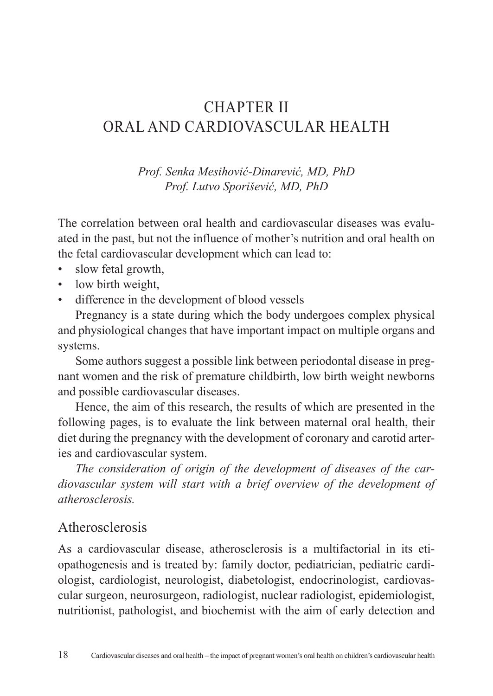# CHAPTER II ORAL AND CARDIOVASCULAR HEALTH

*Prof. Senka Mesihović-Dinarević, MD, PhD Prof. Lutvo Sporišević, MD, PhD*

The correlation between oral health and cardiovascular diseases was evaluated in the past, but not the influence of mother's nutrition and oral health on the fetal cardiovascular development which can lead to:

- slow fetal growth,
- low birth weight,
- difference in the development of blood vessels

Pregnancy is a state during which the body undergoes complex physical and physiological changes that have important impact on multiple organs and systems.

Some authors suggest a possible link between periodontal disease in pregnant women and the risk of premature childbirth, low birth weight newborns and possible cardiovascular diseases.

Hence, the aim of this research, the results of which are presented in the following pages, is to evaluate the link between maternal oral health, their diet during the pregnancy with the development of coronary and carotid arteries and cardiovascular system.

*The consideration of origin of the development of diseases of the cardiovascular system will start with a brief overview of the development of atherosclerosis.*

### Atherosclerosis

As a cardiovascular disease, atherosclerosis is a multifactorial in its etiopathogenesis and is treated by: family doctor, pediatrician, pediatric cardiologist, cardiologist, neurologist, diabetologist, endocrinologist, cardiovascular surgeon, neurosurgeon, radiologist, nuclear radiologist, epidemiologist, nutritionist, pathologist, and biochemist with the aim of early detection and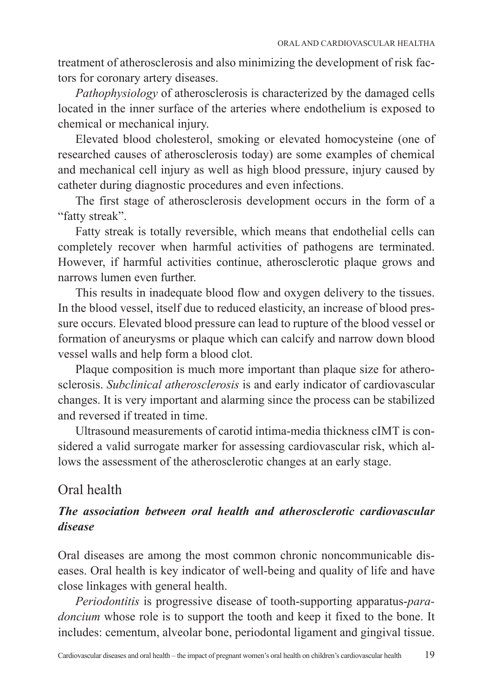treatment of atherosclerosis and also minimizing the development of risk factors for coronary artery diseases.

*Pathophysiology* of atherosclerosis is characterized by the damaged cells located in the inner surface of the arteries where endothelium is exposed to chemical or mechanical injury.

Elevated blood cholesterol, smoking or elevated homocysteine (one of researched causes of atherosclerosis today) are some examples of chemical and mechanical cell injury as well as high blood pressure, injury caused by catheter during diagnostic procedures and even infections.

The first stage of atherosclerosis development occurs in the form of a "fatty streak".

Fatty streak is totally reversible, which means that endothelial cells can completely recover when harmful activities of pathogens are terminated. However, if harmful activities continue, atherosclerotic plaque grows and narrows lumen even further.

This results in inadequate blood flow and oxygen delivery to the tissues. In the blood vessel, itself due to reduced elasticity, an increase of blood pressure occurs. Elevated blood pressure can lead to rupture of the blood vessel or formation of aneurysms or plaque which can calcify and narrow down blood vessel walls and help form a blood clot.

Plaque composition is much more important than plaque size for atherosclerosis. *Subclinical atherosclerosis* is and early indicator of cardiovascular changes. It is very important and alarming since the process can be stabilized and reversed if treated in time.

Ultrasound measurements of carotid intima-media thickness cIMT is considered a valid surrogate marker for assessing cardiovascular risk, which allows the assessment of the atherosclerotic changes at an early stage.

## Oral health

### *The association between oral health and atherosclerotic cardiovascular disease*

Oral diseases are among the most common chronic noncommunicable diseases. Oral health is key indicator of well-being and quality of life and have close linkages with general health.

*Periodontitis* is progressive disease of tooth-supporting apparatus-*paradoncium* whose role is to support the tooth and keep it fixed to the bone. It includes: cementum, alveolar bone, periodontal ligament and gingival tissue.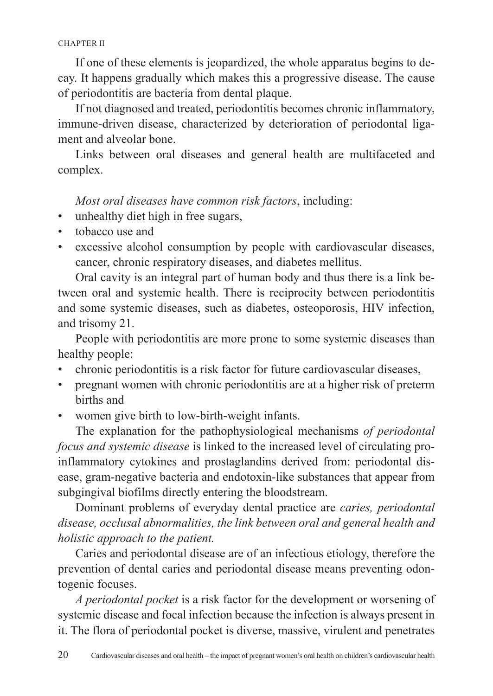If one of these elements is jeopardized, the whole apparatus begins to decay. It happens gradually which makes this a progressive disease. The cause of periodontitis are bacteria from dental plaque.

If not diagnosed and treated, periodontitis becomes chronic inflammatory, immune-driven disease, characterized by deterioration of periodontal ligament and alveolar bone.

Links between oral diseases and general health are multifaceted and complex.

*Most oral diseases have common risk factors*, including:

- unhealthy diet high in free sugars,
- tobacco use and
- excessive alcohol consumption by people with cardiovascular diseases, cancer, chronic respiratory diseases, and diabetes mellitus.

Oral cavity is an integral part of human body and thus there is a link between oral and systemic health. There is reciprocity between periodontitis and some systemic diseases, such as diabetes, osteoporosis, HIV infection, and trisomy 21.

People with periodontitis are more prone to some systemic diseases than healthy people:

- chronic periodontitis is a risk factor for future cardiovascular diseases,
- pregnant women with chronic periodontitis are at a higher risk of preterm births and
- women give birth to low-birth-weight infants.

The explanation for the pathophysiological mechanisms *of periodontal focus and systemic disease* is linked to the increased level of circulating proinflammatory cytokines and prostaglandins derived from: periodontal disease, gram-negative bacteria and endotoxin-like substances that appear from subgingival biofilms directly entering the bloodstream.

Dominant problems of everyday dental practice are *caries, periodontal disease, occlusal abnormalities, the link between oral and general health and holistic approach to the patient.*

Caries and periodontal disease are of an infectious etiology, therefore the prevention of dental caries and periodontal disease means preventing odontogenic focuses.

*A periodontal pocket* is a risk factor for the development or worsening of systemic disease and focal infection because the infection is always present in it. The flora of periodontal pocket is diverse, massive, virulent and penetrates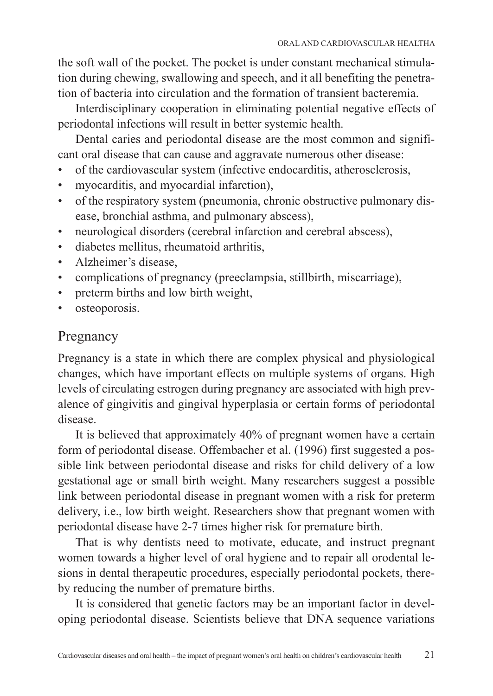the soft wall of the pocket. The pocket is under constant mechanical stimulation during chewing, swallowing and speech, and it all benefiting the penetration of bacteria into circulation and the formation of transient bacteremia.

Interdisciplinary cooperation in eliminating potential negative effects of periodontal infections will result in better systemic health.

Dental caries and periodontal disease are the most common and significant oral disease that can cause and aggravate numerous other disease:

- of the cardiovascular system (infective endocarditis, atherosclerosis,
- myocarditis, and myocardial infarction),
- of the respiratory system (pneumonia, chronic obstructive pulmonary disease, bronchial asthma, and pulmonary abscess),
- neurological disorders (cerebral infarction and cerebral abscess),
- diabetes mellitus, rheumatoid arthritis,
- Alzheimer's disease,
- complications of pregnancy (preeclampsia, stillbirth, miscarriage),
- preterm births and low birth weight,
- osteoporosis.

### Pregnancy

Pregnancy is a state in which there are complex physical and physiological changes, which have important effects on multiple systems of organs. High levels of circulating estrogen during pregnancy are associated with high prevalence of gingivitis and gingival hyperplasia or certain forms of periodontal disease.

It is believed that approximately 40% of pregnant women have a certain form of periodontal disease. Offembacher et al. (1996) first suggested a possible link between periodontal disease and risks for child delivery of a low gestational age or small birth weight. Many researchers suggest a possible link between periodontal disease in pregnant women with a risk for preterm delivery, i.e., low birth weight. Researchers show that pregnant women with periodontal disease have 2-7 times higher risk for premature birth.

That is why dentists need to motivate, educate, and instruct pregnant women towards a higher level of oral hygiene and to repair all orodental lesions in dental therapeutic procedures, especially periodontal pockets, thereby reducing the number of premature births.

It is considered that genetic factors may be an important factor in developing periodontal disease. Scientists believe that DNA sequence variations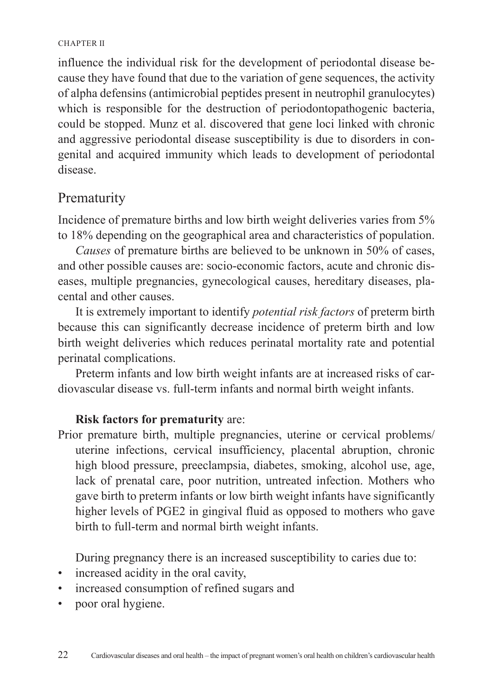#### CHAPTER II

influence the individual risk for the development of periodontal disease because they have found that due to the variation of gene sequences, the activity of alpha defensins (antimicrobial peptides present in neutrophil granulocytes) which is responsible for the destruction of periodontopathogenic bacteria, could be stopped. Munz et al. discovered that gene loci linked with chronic and aggressive periodontal disease susceptibility is due to disorders in congenital and acquired immunity which leads to development of periodontal disease.

# Prematurity

Incidence of premature births and low birth weight deliveries varies from 5% to 18% depending on the geographical area and characteristics of population.

*Causes* of premature births are believed to be unknown in 50% of cases, and other possible causes are: socio-economic factors, acute and chronic diseases, multiple pregnancies, gynecological causes, hereditary diseases, placental and other causes.

It is extremely important to identify *potential risk factors* of preterm birth because this can significantly decrease incidence of preterm birth and low birth weight deliveries which reduces perinatal mortality rate and potential perinatal complications.

Preterm infants and low birth weight infants are at increased risks of cardiovascular disease vs. full-term infants and normal birth weight infants.

### **Risk factors for prematurity** are:

Prior premature birth, multiple pregnancies, uterine or cervical problems/ uterine infections, cervical insufficiency, placental abruption, chronic high blood pressure, preeclampsia, diabetes, smoking, alcohol use, age, lack of prenatal care, poor nutrition, untreated infection. Mothers who gave birth to preterm infants or low birth weight infants have significantly higher levels of PGE2 in gingival fluid as opposed to mothers who gave birth to full-term and normal birth weight infants.

During pregnancy there is an increased susceptibility to caries due to:

- increased acidity in the oral cavity,
- increased consumption of refined sugars and
- poor oral hygiene.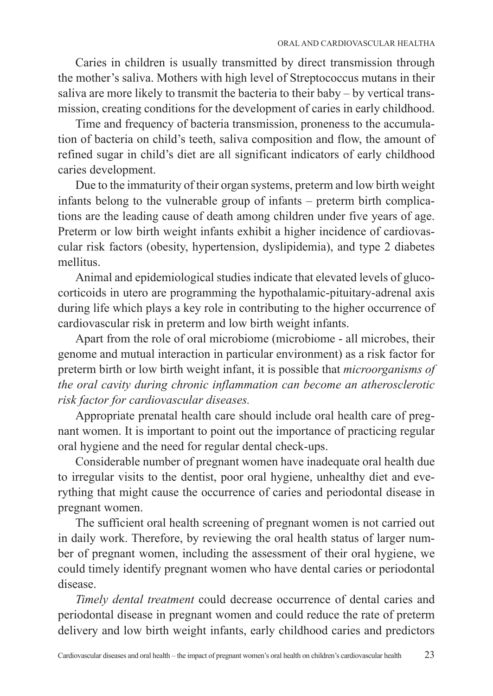Caries in children is usually transmitted by direct transmission through the mother's saliva. Mothers with high level of Streptococcus mutans in their saliva are more likely to transmit the bacteria to their baby – by vertical transmission, creating conditions for the development of caries in early childhood.

Time and frequency of bacteria transmission, proneness to the accumulation of bacteria on child's teeth, saliva composition and flow, the amount of refined sugar in child's diet are all significant indicators of early childhood caries development.

Due to the immaturity of their organ systems, preterm and low birth weight infants belong to the vulnerable group of infants – preterm birth complications are the leading cause of death among children under five years of age. Preterm or low birth weight infants exhibit a higher incidence of cardiovascular risk factors (obesity, hypertension, dyslipidemia), and type 2 diabetes mellitus.

Animal and epidemiological studies indicate that elevated levels of glucocorticoids in utero are programming the hypothalamic-pituitary-adrenal axis during life which plays a key role in contributing to the higher occurrence of cardiovascular risk in preterm and low birth weight infants.

Apart from the role of oral microbiome (microbiome - all microbes, their genome and mutual interaction in particular environment) as a risk factor for preterm birth or low birth weight infant, it is possible that *microorganisms of the oral cavity during chronic inflammation can become an atherosclerotic risk factor for cardiovascular diseases.* 

Appropriate prenatal health care should include oral health care of pregnant women. It is important to point out the importance of practicing regular oral hygiene and the need for regular dental check-ups.

Considerable number of pregnant women have inadequate oral health due to irregular visits to the dentist, poor oral hygiene, unhealthy diet and everything that might cause the occurrence of caries and periodontal disease in pregnant women.

The sufficient oral health screening of pregnant women is not carried out in daily work. Therefore, by reviewing the oral health status of larger number of pregnant women, including the assessment of their oral hygiene, we could timely identify pregnant women who have dental caries or periodontal disease.

*Timely dental treatment* could decrease occurrence of dental caries and periodontal disease in pregnant women and could reduce the rate of preterm delivery and low birth weight infants, early childhood caries and predictors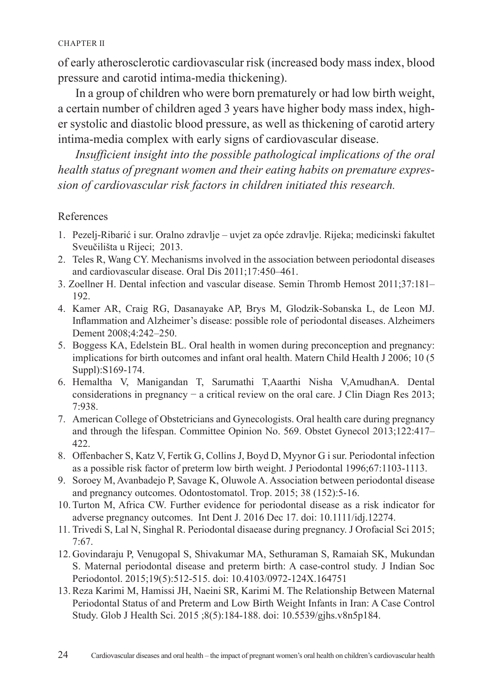#### CHAPTER II

of early atherosclerotic cardiovascular risk (increased body mass index, blood pressure and carotid intima-media thickening).

In a group of children who were born prematurely or had low birth weight, a certain number of children aged 3 years have higher body mass index, higher systolic and diastolic blood pressure, as well as thickening of carotid artery intima-media complex with early signs of cardiovascular disease.

*Insufficient insight into the possible pathological implications of the oral health status of pregnant women and their eating habits on premature expression of cardiovascular risk factors in children initiated this research.*

#### References

- 1. Pezelj-Ribarić i sur. Oralno zdravlje uvjet za opće zdravlje. Rijeka; medicinski fakultet Sveučilišta u Rijeci; 2013.
- 2. Teles R, Wang CY. Mechanisms involved in the association between periodontal diseases and cardiovascular disease. Oral Dis 2011;17:450–461.
- 3. Zoellner H. Dental infection and vascular disease. Semin Thromb Hemost 2011;37:181– 192.
- 4. Kamer AR, Craig RG, Dasanayake AP, Brys M, Glodzik-Sobanska L, de Leon MJ. Inflammation and Alzheimer's disease: possible role of periodontal diseases. Alzheimers Dement 2008;4:242–250.
- 5. Boggess KA, Edelstein BL. Oral health in women during preconception and pregnancy: implications for birth outcomes and infant oral health. Matern Child Health J 2006; 10 (5 Suppl):S169-174.
- 6. Hemaltha V, Manigandan T, Sarumathi T,Aaarthi Nisha V,AmudhanA. Dental considerations in pregnancy − a critical review on the oral care. J Clin Diagn Res 2013; 7:938.
- 7. American College of Obstetricians and Gynecologists. Oral health care during pregnancy and through the lifespan. Committee Opinion No. 569. Obstet Gynecol 2013;122:417– 422.
- 8. Offenbacher S, Katz V, Fertik G, Collins J, Boyd D, Myynor G i sur. Periodontal infection as a possible risk factor of preterm low birth weight. J Periodontal 1996;67:1103-1113.
- 9. Soroey M, Avanbadejo P, Savage K, Oluwole A. Association between periodontal disease and pregnancy outcomes. Odontostomatol. Trop. 2015; 38 (152):5-16.
- 10. Turton M, Africa CW. Further evidence for periodontal disease as a risk indicator for adverse pregnancy outcomes. Int Dent J. 2016 Dec 17. doi: 10.1111/idj.12274.
- 11. Trivedi S, Lal N, Singhal R. Periodontal disaease during pregnancy. J Orofacial Sci 2015; 7:67.
- 12. Govindaraju P, Venugopal S, Shivakumar MA, Sethuraman S, Ramaiah SK, Mukundan S. Maternal periodontal disease and preterm birth: A case-control study. J Indian Soc Periodontol. 2015;19(5):512-515. doi: 10.4103/0972-124X.164751
- 13. Reza Karimi M, Hamissi JH, Naeini SR, Karimi M. The Relationship Between Maternal Periodontal Status of and Preterm and Low Birth Weight Infants in Iran: A Case Control Study. Glob J Health Sci. 2015 ;8(5):184-188. doi: 10.5539/gjhs.v8n5p184.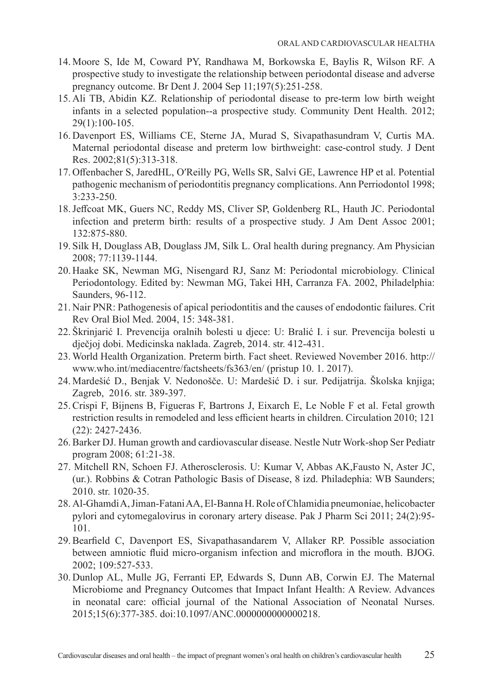- 14. Moore S, Ide M, Coward PY, Randhawa M, Borkowska E, Baylis R, Wilson RF. A prospective study to investigate the relationship between periodontal disease and adverse pregnancy outcome. Br Dent J. 2004 Sep 11;197(5):251-258.
- 15. Ali TB, Abidin KZ. Relationship of periodontal disease to pre-term low birth weight infants in a selected population--a prospective study. Community Dent Health. 2012; 29(1):100-105.
- 16. Davenport ES, Williams CE, Sterne JA, Murad S, Sivapathasundram V, Curtis MA. Maternal periodontal disease and preterm low birthweight: case-control study. J Dent Res. 2002;81(5):313-318.
- 17. Offenbacher S, JaredHL, O′Reilly PG, Wells SR, Salvi GE, Lawrence HP et al. Potential pathogenic mechanism of periodontitis pregnancy complications. Ann Perriodontol 1998; 3:233-250.
- 18.Jeffcoat MK, Guers NC, Reddy MS, Cliver SP, Goldenberg RL, Hauth JC. Periodontal infection and preterm birth: results of a prospective study. J Am Dent Assoc 2001; 132:875-880.
- 19. Silk H, Douglass AB, Douglass JM, Silk L. Oral health during pregnancy. Am Physician 2008; 77:1139-1144.
- 20. Haake SK, Newman MG, Nisengard RJ, Sanz M: Periodontal microbiology. Clinical Periodontology. Edited by: Newman MG, Takei HH, Carranza FA. 2002, Philadelphia: Saunders, 96-112.
- 21. Nair PNR: Pathogenesis of apical periodontitis and the causes of endodontic failures. Crit Rev Oral Biol Med. 2004, 15: 348-381.
- 22. Škrinjarić I. Prevencija oralnih bolesti u djece: U: Bralić I. i sur. Prevencija bolesti u dječjoj dobi. Medicinska naklada. Zagreb, 2014. str. 412-431.
- 23. World Health Organization. Preterm birth. Fact sheet. Reviewed November 2016. http:// www.who.int/mediacentre/factsheets/fs363/en/ (pristup 10. 1. 2017).
- 24. Mardešić D., Benjak V. Nedonošče. U: Mardešić D. i sur. Pedijatrija. Školska knjiga; Zagreb, 2016. str. 389-397.
- 25. Crispi F, Bijnens B, Figueras F, Bartrons J, Eixarch E, Le Noble F et al. Fetal growth restriction results in remodeled and less efficient hearts in children. Circulation 2010; 121 (22): 2427-2436.
- 26. Barker DJ. Human growth and cardiovascular disease. Nestle Nutr Work-shop Ser Pediatr program 2008; 61:21-38.
- 27. Mitchell RN, Schoen FJ. Atherosclerosis. U: Kumar V, Abbas AK,Fausto N, Aster JC, (ur.). Robbins & Cotran Pathologic Basis of Disease, 8 izd. Philadephia: WB Saunders; 2010. str. 1020-35.
- 28. Al-Ghamdi A, Jiman-Fatani AA, El-Banna H. Role of Chlamidia pneumoniae, helicobacter pylori and cytomegalovirus in coronary artery disease. Pak J Pharm Sci 2011; 24(2):95- 101.
- 29. Bearfield C, Davenport ES, Sivapathasandarem V, Allaker RP. Possible association between amniotic fluid micro-organism infection and microflora in the mouth. BJOG. 2002; 109:527-533.
- 30. Dunlop AL, Mulle JG, Ferranti EP, Edwards S, Dunn AB, Corwin EJ. The Maternal Microbiome and Pregnancy Outcomes that Impact Infant Health: A Review. Advances in neonatal care: official journal of the National Association of Neonatal Nurses. 2015;15(6):377-385. doi:10.1097/ANC.0000000000000218.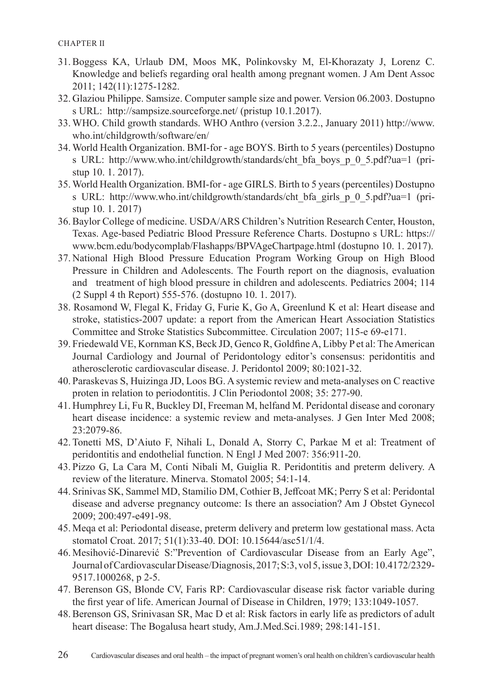- 31. Boggess KA, Urlaub DM, Moos MK, Polinkovsky M, El-Khorazaty J, Lorenz C. Knowledge and beliefs regarding oral health among pregnant women. J Am Dent Assoc 2011; 142(11):1275-1282.
- 32. Glaziou Philippe. Samsize. Computer sample size and power. Version 06.2003. Dostupno s URL: http://sampsize.sourceforge.net/ (pristup 10.1.2017).
- 33. WHO. Child growth standards. WHO Anthro (version 3.2.2., January 2011) http://www. who.int/childgrowth/software/en/
- 34. World Health Organization. BMI-for age BOYS. Birth to 5 years (percentiles) Dostupno s URL: http://www.who.int/childgrowth/standards/cht\_bfa\_boys\_p\_0\_5.pdf?ua=1 (pristup 10. 1. 2017).
- 35. World Health Organization. BMI-for age GIRLS. Birth to 5 years (percentiles) Dostupno s URL: http://www.who.int/childgrowth/standards/cht\_bfa\_girls\_p\_0\_5.pdf?ua=1 (pristup 10. 1. 2017)
- 36. Baylor College of medicine. USDA/ARS Children's Nutrition Research Center, Houston, Texas. Age-based Pediatric Blood Pressure Reference Charts. Dostupno s URL: https:// www.bcm.edu/bodycomplab/Flashapps/BPVAgeChartpage.html (dostupno 10. 1. 2017).
- 37. National High Blood Pressure Education Program Working Group on High Blood Pressure in Children and Adolescents. The Fourth report on the diagnosis, evaluation and treatment of high blood pressure in children and adolescents. Pediatrics 2004; 114 (2 Suppl 4 th Report) 555-576. (dostupno 10. 1. 2017).
- 38. Rosamond W, Flegal K, Friday G, Furie K, Go A, Greenlund K et al: Heart disease and stroke, statistics-2007 update: a report from the American Heart Association Statistics Committee and Stroke Statistics Subcommittee. Circulation 2007; 115-e 69-e171.
- 39. Friedewald VE, Kornman KS, Beck JD, Genco R, Goldfine A, Libby P et al: The American Journal Cardiology and Journal of Peridontology editor's consensus: peridontitis and atherosclerotic cardiovascular disease. J. Peridontol 2009; 80:1021-32.
- 40. Paraskevas S, Huizinga JD, Loos BG. A systemic review and meta-analyses on C reactive proten in relation to periodontitis. J Clin Periodontol 2008; 35: 277-90.
- 41. Humphrey Li, Fu R, Buckley DI, Freeman M, helfand M. Peridontal disease and coronary heart disease incidence: a systemic review and meta-analyses. J Gen Inter Med 2008; 23:2079-86.
- 42. Tonetti MS, D'Aiuto F, Nihali L, Donald A, Storry C, Parkae M et al: Treatment of peridontitis and endothelial function. N Engl J Med 2007: 356:911-20.
- 43. Pizzo G, La Cara M, Conti Nibali M, Guiglia R. Peridontitis and preterm delivery. A review of the literature. Minerva. Stomatol 2005; 54:1-14.
- 44. Srinivas SK, Sammel MD, Stamilio DM, Cothier B, Jeffcoat MK; Perry S et al: Peridontal disease and adverse pregnancy outcome: Is there an association? Am J Obstet Gynecol 2009; 200:497-e491-98.
- 45. Meqa et al: Periodontal disease, preterm delivery and preterm low gestational mass. Acta stomatol Croat. 2017; 51(1):33-40. DOI: 10.15644/asc51/1/4.
- 46. Mesihović-Dinarević S:"Prevention of Cardiovascular Disease from an Early Age", Journal of Cardiovascular Disease/Diagnosis, 2017; S:3, vol 5, issue 3, DOI: 10.4172/2329- 9517.1000268, p 2-5.
- 47. Berenson GS, Blonde CV, Faris RP: Cardiovascular disease risk factor variable during the first year of life. American Journal of Disease in Children, 1979; 133:1049-1057.
- 48. Berenson GS, Srinivasan SR, Mac D et al: Risk factors in early life as predictors of adult heart disease: The Bogalusa heart study, Am.J.Med.Sci.1989; 298:141-151.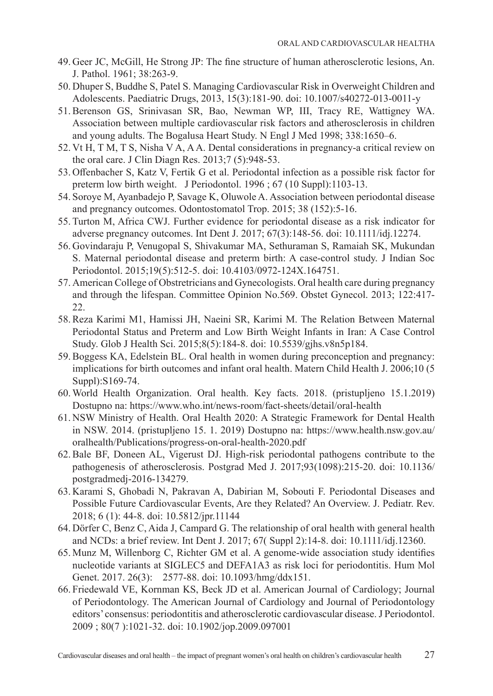- 49. Geer JC, McGill, He Strong JP: The fine structure of human atherosclerotic lesions, An. J. Pathol. 1961; 38:263-9.
- 50. Dhuper S, Buddhe S, Patel S. Managing Cardiovascular Risk in Overweight Children and Adolescents. Paediatric Drugs, 2013, 15(3):181-90. doi: 10.1007/s40272-013-0011-y
- 51. Berenson GS, Srinivasan SR, Bao, Newman WP, III, Tracy RE, Wattigney WA. Association between multiple cardiovascular risk factors and atherosclerosis in children and young adults. The Bogalusa Heart Study. N Engl J Med 1998; 338:1650–6.
- 52. Vt H, T M, T S, Nisha V A, A A. Dental considerations in pregnancy-a critical review on the oral care. J Clin Diagn Res. 2013;7 (5):948-53.
- 53. Offenbacher S, Katz V, Fertik G et al. Periodontal infection as a possible risk factor for preterm low birth weight. J Periodontol. 1996 ; 67 (10 Suppl):1103-13.
- 54. Soroye M, Ayanbadejo P, Savage K, Oluwole A. Association between periodontal disease and pregnancy outcomes. Odontostomatol Trop. 2015; 38 (152):5-16.
- 55. Turton M, Africa CWJ. Further evidence for periodontal disease as a risk indicator for adverse pregnancy outcomes. Int Dent J. 2017; 67(3):148-56. doi: 10.1111/idj.12274.
- 56. Govindaraju P, Venugopal S, Shivakumar MA, Sethuraman S, Ramaiah SK, Mukundan S. Maternal periodontal disease and preterm birth: A case-control study. J Indian Soc Periodontol. 2015;19(5):512-5. doi: 10.4103/0972-124X.164751.
- 57. American College of Obstretricians and Gynecologists. Oral health care during pregnancy and through the lifespan. Committee Opinion No.569. Obstet Gynecol. 2013; 122:417- 22.
- 58. Reza Karimi M1, Hamissi JH, Naeini SR, Karimi M. The Relation Between Maternal Periodontal Status and Preterm and Low Birth Weight Infants in Iran: A Case Control Study. Glob J Health Sci. 2015;8(5):184-8. doi: 10.5539/gjhs.v8n5p184.
- 59. Boggess KA, Edelstein BL. Oral health in women during preconception and pregnancy: implications for birth outcomes and infant oral health. Matern Child Health J. 2006;10 (5 Suppl):S169-74.
- 60. World Health Organization. Oral health. Key facts. 2018. (pristupljeno 15.1.2019) Dostupno na: https://www.who.int/news-room/fact-sheets/detail/oral-health
- 61. NSW Ministry of Health. Oral Health 2020: A Strategic Framework for Dental Health in NSW. 2014. (pristupljeno 15. 1. 2019) Dostupno na: https://www.health.nsw.gov.au/ oralhealth/Publications/progress-on-oral-health-2020.pdf
- 62. Bale BF, Doneen AL, Vigerust DJ. High-risk periodontal pathogens contribute to the pathogenesis of atherosclerosis. Postgrad Med J. 2017;93(1098):215-20. doi: 10.1136/ postgradmedj-2016-134279.
- 63. Karami S, Ghobadi N, Pakravan A, Dabirian M, Sobouti F. Periodontal Diseases and Possible Future Cardiovascular Events, Are they Related? An Overview. J. Pediatr. Rev. 2018; 6 (1): 44-8. doi: 10.5812/jpr.11144
- 64. Dörfer C, Benz C, Aida J, Campard G. The relationship of oral health with general health and NCDs: a brief review. Int Dent J. 2017; 67( Suppl 2):14-8. doi: 10.1111/idj.12360.
- 65. Munz M, Willenborg C, Richter GM et al. A genome-wide association study identifies nucleotide variants at SIGLEC5 and DEFA1A3 as risk loci for periodontitis. Hum Mol Genet. 2017. 26(3): 2577-88. doi: 10.1093/hmg/ddx151.
- 66. Friedewald VE, Kornman KS, Beck JD et al. American Journal of Cardiology; Journal of Periodontology. The American Journal of Cardiology and Journal of Periodontology editors' consensus: periodontitis and atherosclerotic cardiovascular disease. J Periodontol. 2009 ; 80(7 ):1021-32. doi: 10.1902/jop.2009.097001